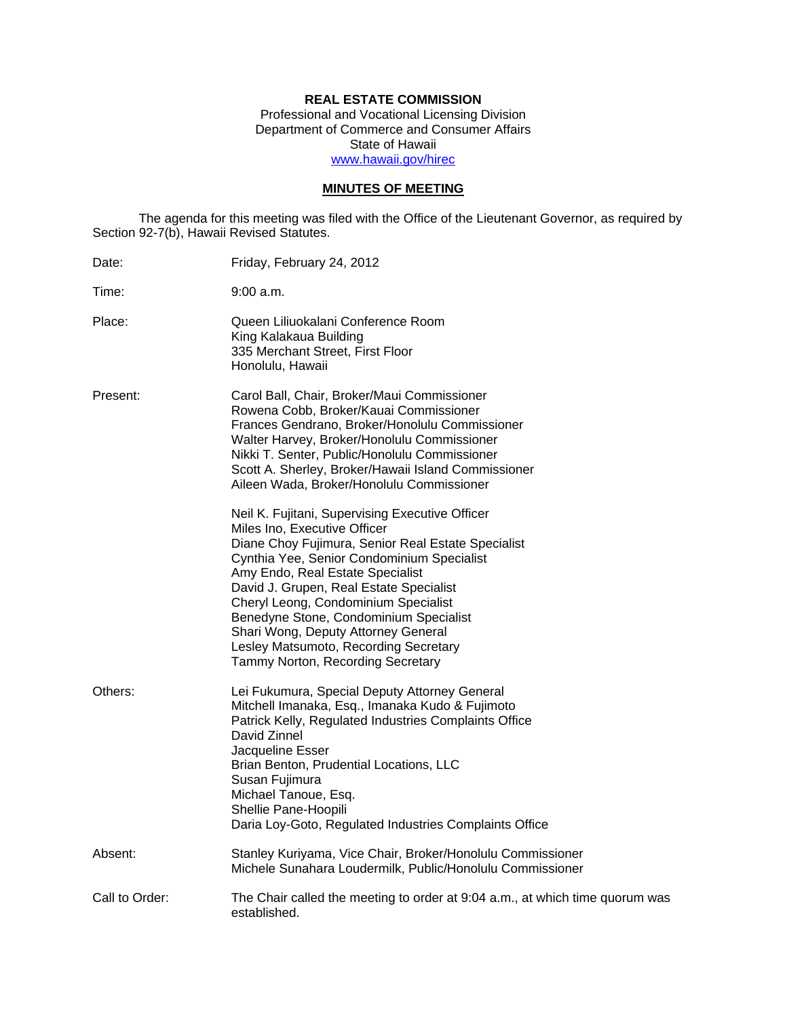# **REAL ESTATE COMMISSION**

Professional and Vocational Licensing Division Department of Commerce and Consumer Affairs State of Hawaii www.hawaii.gov/hirec

# **MINUTES OF MEETING**

The agenda for this meeting was filed with the Office of the Lieutenant Governor, as required by Section 92-7(b), Hawaii Revised Statutes.

| Date:          | Friday, February 24, 2012                                                                                                                                                                                                                                                                                                                                                                                                                                                 |
|----------------|---------------------------------------------------------------------------------------------------------------------------------------------------------------------------------------------------------------------------------------------------------------------------------------------------------------------------------------------------------------------------------------------------------------------------------------------------------------------------|
| Time:          | 9:00 a.m.                                                                                                                                                                                                                                                                                                                                                                                                                                                                 |
| Place:         | Queen Liliuokalani Conference Room<br>King Kalakaua Building<br>335 Merchant Street, First Floor<br>Honolulu, Hawaii                                                                                                                                                                                                                                                                                                                                                      |
| Present:       | Carol Ball, Chair, Broker/Maui Commissioner<br>Rowena Cobb, Broker/Kauai Commissioner<br>Frances Gendrano, Broker/Honolulu Commissioner<br>Walter Harvey, Broker/Honolulu Commissioner<br>Nikki T. Senter, Public/Honolulu Commissioner<br>Scott A. Sherley, Broker/Hawaii Island Commissioner<br>Aileen Wada, Broker/Honolulu Commissioner                                                                                                                               |
|                | Neil K. Fujitani, Supervising Executive Officer<br>Miles Ino, Executive Officer<br>Diane Choy Fujimura, Senior Real Estate Specialist<br>Cynthia Yee, Senior Condominium Specialist<br>Amy Endo, Real Estate Specialist<br>David J. Grupen, Real Estate Specialist<br>Cheryl Leong, Condominium Specialist<br>Benedyne Stone, Condominium Specialist<br>Shari Wong, Deputy Attorney General<br>Lesley Matsumoto, Recording Secretary<br>Tammy Norton, Recording Secretary |
| Others:        | Lei Fukumura, Special Deputy Attorney General<br>Mitchell Imanaka, Esq., Imanaka Kudo & Fujimoto<br>Patrick Kelly, Regulated Industries Complaints Office<br>David Zinnel<br>Jacqueline Esser<br>Brian Benton, Prudential Locations, LLC<br>Susan Fujimura<br>Michael Tanoue, Esq.<br>Shellie Pane-Hoopili<br>Daria Loy-Goto, Regulated Industries Complaints Office                                                                                                      |
| Absent:        | Stanley Kuriyama, Vice Chair, Broker/Honolulu Commissioner<br>Michele Sunahara Loudermilk, Public/Honolulu Commissioner                                                                                                                                                                                                                                                                                                                                                   |
| Call to Order: | The Chair called the meeting to order at 9:04 a.m., at which time quorum was<br>established.                                                                                                                                                                                                                                                                                                                                                                              |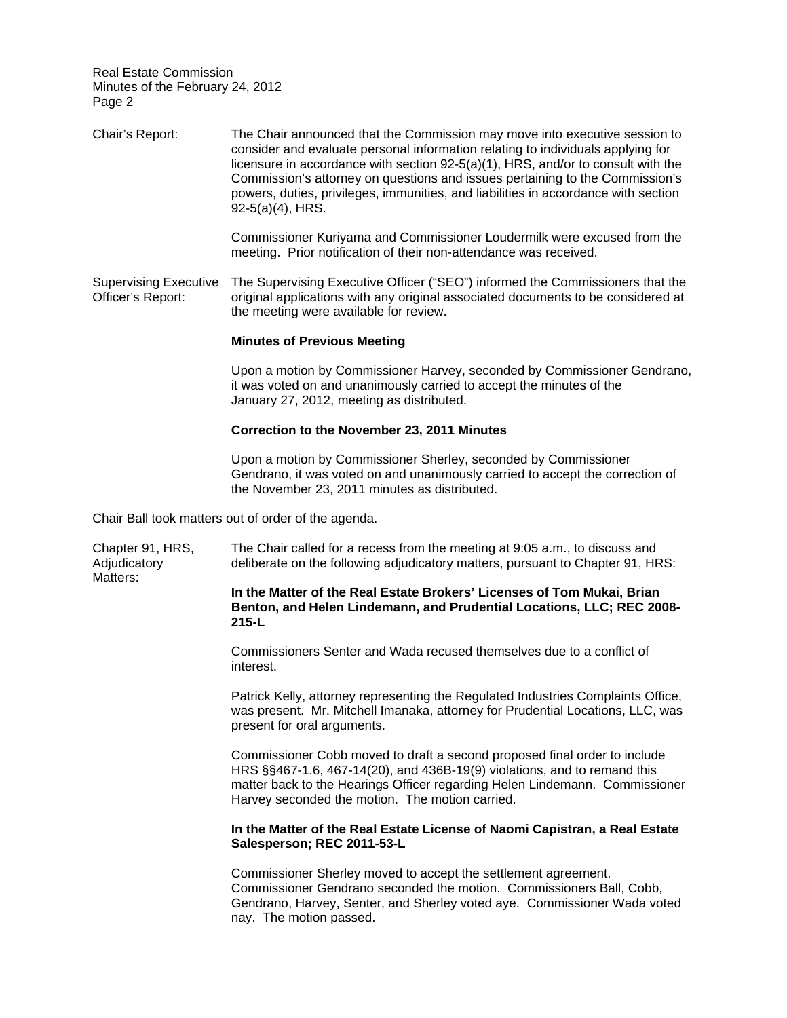Matters:

Adjudicatory Chair's Report: The Chair announced that the Commission may move into executive session to consider and evaluate personal information relating to individuals applying for licensure in accordance with section 92-5(a)(1), HRS, and/or to consult with the Commission's attorney on questions and issues pertaining to the Commission's powers, duties, privileges, immunities, and liabilities in accordance with section 92-5(a)(4), HRS. Commissioner Kuriyama and Commissioner Loudermilk were excused from the meeting. Prior notification of their non-attendance was received. Supervising Executive The Supervising Executive Officer ("SEO") informed the Commissioners that the Officer's Report: original applications with any original associated documents to be considered at the meeting were available for review. **Minutes of Previous Meeting**  Upon a motion by Commissioner Harvey, seconded by Commissioner Gendrano, it was voted on and unanimously carried to accept the minutes of the January 27, 2012, meeting as distributed. **Correction to the November 23, 2011 Minutes**  Upon a motion by Commissioner Sherley, seconded by Commissioner Gendrano, it was voted on and unanimously carried to accept the correction of the November 23, 2011 minutes as distributed. Chair Ball took matters out of order of the agenda. Chapter 91, HRS, The Chair called for a recess from the meeting at 9:05 a.m., to discuss and deliberate on the following adjudicatory matters, pursuant to Chapter 91, HRS:

> **In the Matter of the Real Estate Brokers' Licenses of Tom Mukai, Brian Benton, and Helen Lindemann, and Prudential Locations, LLC; REC 2008- 215-L**

Commissioners Senter and Wada recused themselves due to a conflict of interest.

Patrick Kelly, attorney representing the Regulated Industries Complaints Office, was present. Mr. Mitchell Imanaka, attorney for Prudential Locations, LLC, was present for oral arguments.

Commissioner Cobb moved to draft a second proposed final order to include HRS §§467-1.6, 467-14(20), and 436B-19(9) violations, and to remand this matter back to the Hearings Officer regarding Helen Lindemann. Commissioner Harvey seconded the motion. The motion carried.

## **In the Matter of the Real Estate License of Naomi Capistran, a Real Estate Salesperson; REC 2011-53-L**

Commissioner Sherley moved to accept the settlement agreement. Commissioner Gendrano seconded the motion. Commissioners Ball, Cobb, Gendrano, Harvey, Senter, and Sherley voted aye. Commissioner Wada voted nay. The motion passed.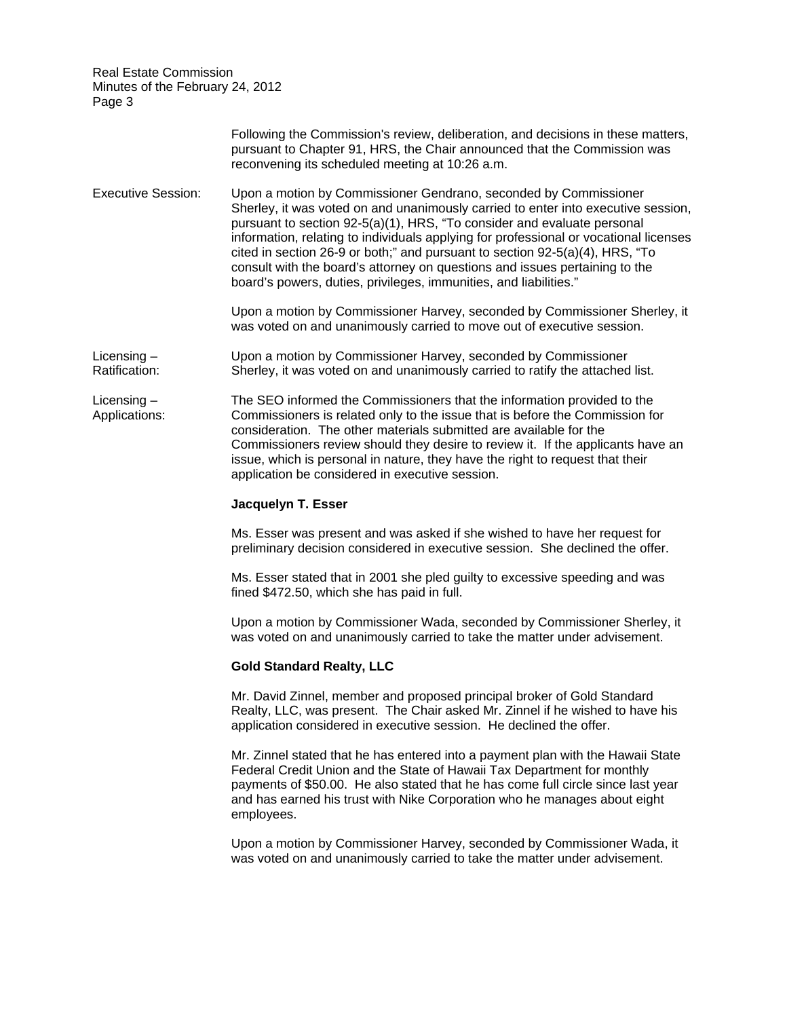|                                | Following the Commission's review, deliberation, and decisions in these matters,<br>pursuant to Chapter 91, HRS, the Chair announced that the Commission was<br>reconvening its scheduled meeting at 10:26 a.m.                                                                                                                                                                                                                                                                                                                                               |
|--------------------------------|---------------------------------------------------------------------------------------------------------------------------------------------------------------------------------------------------------------------------------------------------------------------------------------------------------------------------------------------------------------------------------------------------------------------------------------------------------------------------------------------------------------------------------------------------------------|
| <b>Executive Session:</b>      | Upon a motion by Commissioner Gendrano, seconded by Commissioner<br>Sherley, it was voted on and unanimously carried to enter into executive session,<br>pursuant to section 92-5(a)(1), HRS, "To consider and evaluate personal<br>information, relating to individuals applying for professional or vocational licenses<br>cited in section 26-9 or both;" and pursuant to section 92-5(a)(4), HRS, "To<br>consult with the board's attorney on questions and issues pertaining to the<br>board's powers, duties, privileges, immunities, and liabilities." |
|                                | Upon a motion by Commissioner Harvey, seconded by Commissioner Sherley, it<br>was voted on and unanimously carried to move out of executive session.                                                                                                                                                                                                                                                                                                                                                                                                          |
| Licensing $-$<br>Ratification: | Upon a motion by Commissioner Harvey, seconded by Commissioner<br>Sherley, it was voted on and unanimously carried to ratify the attached list.                                                                                                                                                                                                                                                                                                                                                                                                               |
| Licensing $-$<br>Applications: | The SEO informed the Commissioners that the information provided to the<br>Commissioners is related only to the issue that is before the Commission for<br>consideration. The other materials submitted are available for the<br>Commissioners review should they desire to review it. If the applicants have an<br>issue, which is personal in nature, they have the right to request that their<br>application be considered in executive session.                                                                                                          |
|                                | Jacquelyn T. Esser                                                                                                                                                                                                                                                                                                                                                                                                                                                                                                                                            |
|                                | Ms. Esser was present and was asked if she wished to have her request for<br>preliminary decision considered in executive session. She declined the offer.                                                                                                                                                                                                                                                                                                                                                                                                    |
|                                | Ms. Esser stated that in 2001 she pled guilty to excessive speeding and was<br>fined \$472.50, which she has paid in full.                                                                                                                                                                                                                                                                                                                                                                                                                                    |
|                                | Upon a motion by Commissioner Wada, seconded by Commissioner Sherley, it<br>was voted on and unanimously carried to take the matter under advisement.                                                                                                                                                                                                                                                                                                                                                                                                         |
|                                | <b>Gold Standard Realty, LLC</b>                                                                                                                                                                                                                                                                                                                                                                                                                                                                                                                              |
|                                | Mr. David Zinnel, member and proposed principal broker of Gold Standard<br>Realty, LLC, was present. The Chair asked Mr. Zinnel if he wished to have his<br>application considered in executive session. He declined the offer.                                                                                                                                                                                                                                                                                                                               |
|                                | Mr. Zinnel stated that he has entered into a payment plan with the Hawaii State<br>Federal Credit Union and the State of Hawaii Tax Department for monthly<br>payments of \$50.00. He also stated that he has come full circle since last year<br>and has earned his trust with Nike Corporation who he manages about eight<br>employees.                                                                                                                                                                                                                     |
|                                | Upon a motion by Commissioner Harvey, seconded by Commissioner Wada, it<br>was voted on and unanimously carried to take the matter under advisement.                                                                                                                                                                                                                                                                                                                                                                                                          |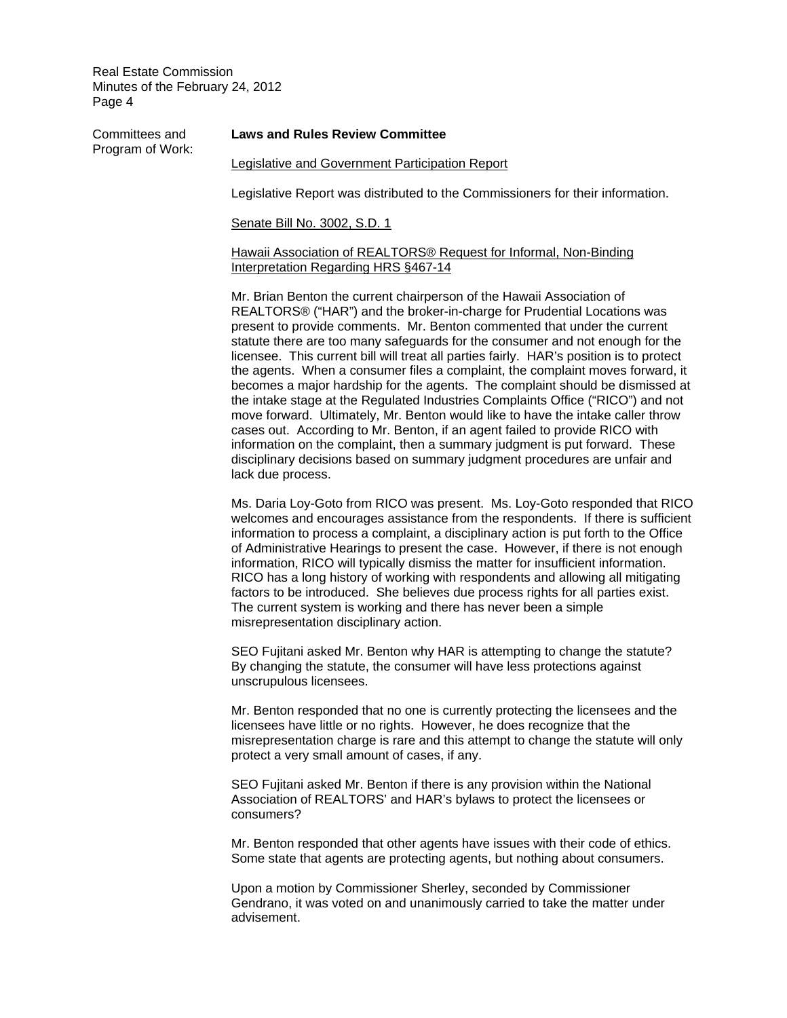Program of Work:

# Committees and **Laws and Rules Review Committee**

### Legislative and Government Participation Report

Legislative Report was distributed to the Commissioners for their information.

Senate Bill No. 3002, S.D. 1

### Hawaii Association of REALTORS® Request for Informal, Non-Binding Interpretation Regarding HRS §467-14

Mr. Brian Benton the current chairperson of the Hawaii Association of REALTORS® ("HAR") and the broker-in-charge for Prudential Locations was present to provide comments. Mr. Benton commented that under the current statute there are too many safeguards for the consumer and not enough for the licensee. This current bill will treat all parties fairly. HAR's position is to protect the agents. When a consumer files a complaint, the complaint moves forward, it becomes a major hardship for the agents. The complaint should be dismissed at the intake stage at the Regulated Industries Complaints Office ("RICO") and not move forward. Ultimately, Mr. Benton would like to have the intake caller throw cases out. According to Mr. Benton, if an agent failed to provide RICO with information on the complaint, then a summary judgment is put forward. These disciplinary decisions based on summary judgment procedures are unfair and lack due process.

Ms. Daria Loy-Goto from RICO was present. Ms. Loy-Goto responded that RICO welcomes and encourages assistance from the respondents. If there is sufficient information to process a complaint, a disciplinary action is put forth to the Office of Administrative Hearings to present the case. However, if there is not enough information, RICO will typically dismiss the matter for insufficient information. RICO has a long history of working with respondents and allowing all mitigating factors to be introduced. She believes due process rights for all parties exist. The current system is working and there has never been a simple misrepresentation disciplinary action.

SEO Fujitani asked Mr. Benton why HAR is attempting to change the statute? By changing the statute, the consumer will have less protections against unscrupulous licensees.

Mr. Benton responded that no one is currently protecting the licensees and the licensees have little or no rights. However, he does recognize that the misrepresentation charge is rare and this attempt to change the statute will only protect a very small amount of cases, if any.

SEO Fujitani asked Mr. Benton if there is any provision within the National Association of REALTORS' and HAR's bylaws to protect the licensees or consumers?

Mr. Benton responded that other agents have issues with their code of ethics. Some state that agents are protecting agents, but nothing about consumers.

Upon a motion by Commissioner Sherley, seconded by Commissioner Gendrano, it was voted on and unanimously carried to take the matter under advisement.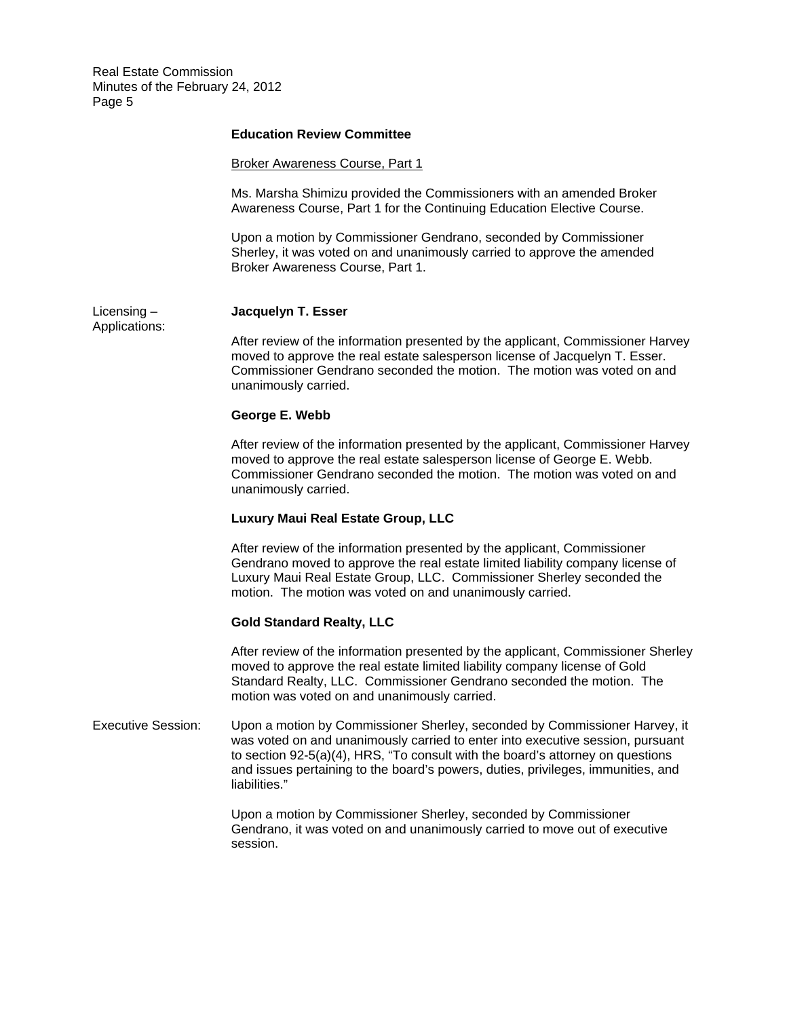## **Education Review Committee**

#### Broker Awareness Course, Part 1

Ms. Marsha Shimizu provided the Commissioners with an amended Broker Awareness Course, Part 1 for the Continuing Education Elective Course.

Upon a motion by Commissioner Gendrano, seconded by Commissioner Sherley, it was voted on and unanimously carried to approve the amended Broker Awareness Course, Part 1.

## Licensing – **Jacquelyn T. Esser**

Applications:

After review of the information presented by the applicant, Commissioner Harvey moved to approve the real estate salesperson license of Jacquelyn T. Esser. Commissioner Gendrano seconded the motion. The motion was voted on and unanimously carried.

#### **George E. Webb**

After review of the information presented by the applicant, Commissioner Harvey moved to approve the real estate salesperson license of George E. Webb. Commissioner Gendrano seconded the motion. The motion was voted on and unanimously carried.

## **Luxury Maui Real Estate Group, LLC**

After review of the information presented by the applicant, Commissioner Gendrano moved to approve the real estate limited liability company license of Luxury Maui Real Estate Group, LLC. Commissioner Sherley seconded the motion. The motion was voted on and unanimously carried.

### **Gold Standard Realty, LLC**

After review of the information presented by the applicant, Commissioner Sherley moved to approve the real estate limited liability company license of Gold Standard Realty, LLC. Commissioner Gendrano seconded the motion. The motion was voted on and unanimously carried.

Executive Session: Upon a motion by Commissioner Sherley, seconded by Commissioner Harvey, it was voted on and unanimously carried to enter into executive session, pursuant to section 92-5(a)(4), HRS, "To consult with the board's attorney on questions and issues pertaining to the board's powers, duties, privileges, immunities, and liabilities."

> Upon a motion by Commissioner Sherley, seconded by Commissioner Gendrano, it was voted on and unanimously carried to move out of executive session.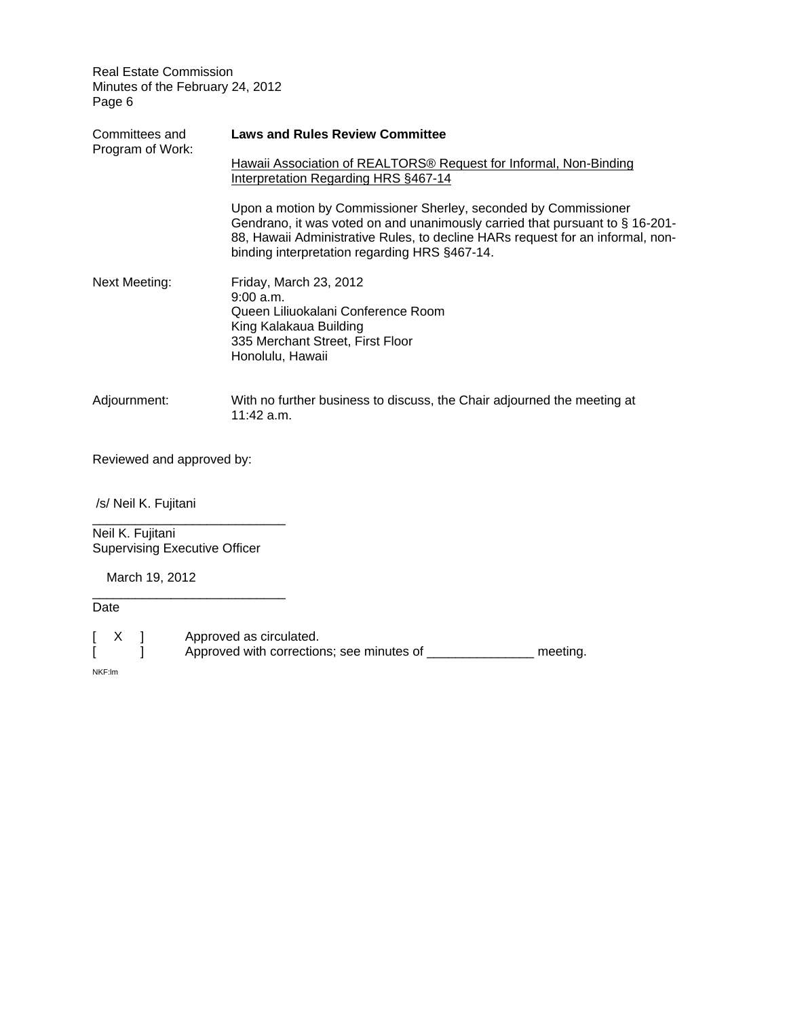| Committees and<br>Program of Work: | <b>Laws and Rules Review Committee</b>                                                                                                                                                                                                                                             |
|------------------------------------|------------------------------------------------------------------------------------------------------------------------------------------------------------------------------------------------------------------------------------------------------------------------------------|
|                                    | Hawaii Association of REALTORS <sup>®</sup> Request for Informal, Non-Binding<br>Interpretation Regarding HRS §467-14                                                                                                                                                              |
|                                    | Upon a motion by Commissioner Sherley, seconded by Commissioner<br>Gendrano, it was voted on and unanimously carried that pursuant to § 16-201-<br>88, Hawaii Administrative Rules, to decline HARs request for an informal, non-<br>binding interpretation regarding HRS §467-14. |
| Next Meeting:                      | Friday, March 23, 2012<br>9:00 a.m.<br>Queen Liliuokalani Conference Room<br>King Kalakaua Building<br>335 Merchant Street, First Floor<br>Honolulu, Hawaii                                                                                                                        |
| Adjournment:                       | With no further business to discuss, the Chair adjourned the meeting at<br>11:42 a.m.                                                                                                                                                                                              |

Reviewed and approved by:

/s/ Neil K. Fujitani

\_\_\_\_\_\_\_\_\_\_\_\_\_\_\_\_\_\_\_\_\_\_\_\_\_\_\_ Neil K. Fujitani Supervising Executive Officer

\_\_\_\_\_\_\_\_\_\_\_\_\_\_\_\_\_\_\_\_\_\_\_\_\_\_\_

March 19, 2012

Date

| $\vert$ X |  | Approved as circulated.                   |          |
|-----------|--|-------------------------------------------|----------|
|           |  | Approved with corrections; see minutes of | meeting. |

NKF:lm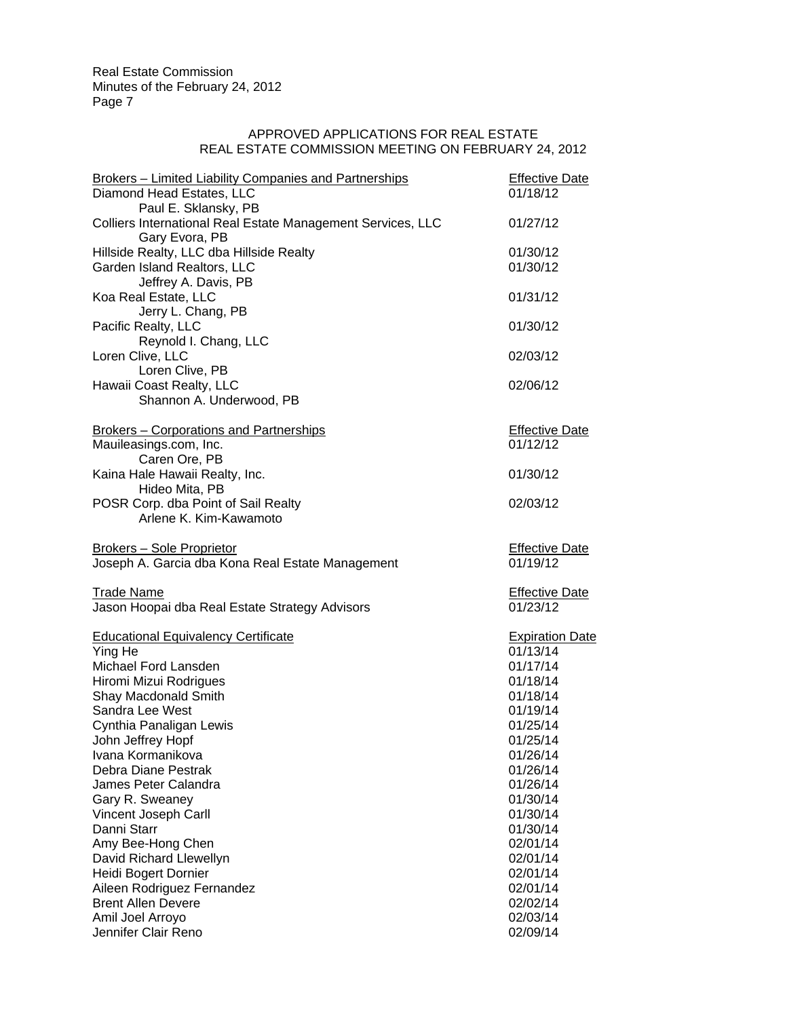# APPROVED APPLICATIONS FOR REAL ESTATE REAL ESTATE COMMISSION MEETING ON FEBRUARY 24, 2012

| Brokers - Limited Liability Companies and Partnerships<br>Diamond Head Estates, LLC<br>Paul E. Sklansky, PB | <b>Effective Date</b><br>01/18/12 |
|-------------------------------------------------------------------------------------------------------------|-----------------------------------|
| Colliers International Real Estate Management Services, LLC<br>Gary Evora, PB                               | 01/27/12                          |
| Hillside Realty, LLC dba Hillside Realty                                                                    | 01/30/12                          |
| Garden Island Realtors, LLC                                                                                 | 01/30/12                          |
| Jeffrey A. Davis, PB                                                                                        |                                   |
| Koa Real Estate, LLC                                                                                        | 01/31/12                          |
| Jerry L. Chang, PB                                                                                          |                                   |
| Pacific Realty, LLC                                                                                         | 01/30/12                          |
| Reynold I. Chang, LLC                                                                                       |                                   |
| Loren Clive, LLC                                                                                            | 02/03/12                          |
| Loren Clive, PB                                                                                             |                                   |
| Hawaii Coast Realty, LLC                                                                                    | 02/06/12                          |
| Shannon A. Underwood, PB                                                                                    |                                   |
| <b>Brokers - Corporations and Partnerships</b>                                                              | <b>Effective Date</b>             |
| Mauileasings.com, Inc.                                                                                      | 01/12/12                          |
| Caren Ore, PB                                                                                               |                                   |
| Kaina Hale Hawaii Realty, Inc.                                                                              | 01/30/12                          |
| Hideo Mita, PB                                                                                              |                                   |
| POSR Corp. dba Point of Sail Realty                                                                         | 02/03/12                          |
| Arlene K. Kim-Kawamoto                                                                                      |                                   |
| <b>Brokers - Sole Proprietor</b>                                                                            | <b>Effective Date</b>             |
| Joseph A. Garcia dba Kona Real Estate Management                                                            | 01/19/12                          |
|                                                                                                             |                                   |
| <b>Trade Name</b>                                                                                           | <b>Effective Date</b><br>01/23/12 |
| Jason Hoopai dba Real Estate Strategy Advisors                                                              |                                   |
| <b>Educational Equivalency Certificate</b>                                                                  | <b>Expiration Date</b>            |
| Ying He                                                                                                     | 01/13/14                          |
| Michael Ford Lansden                                                                                        | 01/17/14                          |
| Hiromi Mizui Rodrigues                                                                                      | 01/18/14                          |
| Shay Macdonald Smith                                                                                        | 01/18/14                          |
| Sandra Lee West                                                                                             | 01/19/14                          |
| Cynthia Panaligan Lewis                                                                                     | 01/25/14                          |
| John Jeffrey Hopf                                                                                           | 01/25/14                          |
| Ivana Kormanikova                                                                                           | 01/26/14                          |
| Debra Diane Pestrak                                                                                         | 01/26/14                          |
| James Peter Calandra                                                                                        | 01/26/14                          |
| Gary R. Sweaney                                                                                             | 01/30/14                          |
| Vincent Joseph Carll                                                                                        | 01/30/14                          |
| Danni Starr                                                                                                 | 01/30/14                          |
| Amy Bee-Hong Chen                                                                                           | 02/01/14                          |
| David Richard Llewellyn                                                                                     | 02/01/14                          |
| Heidi Bogert Dornier                                                                                        | 02/01/14                          |
| Aileen Rodriguez Fernandez                                                                                  | 02/01/14                          |
| <b>Brent Allen Devere</b>                                                                                   | 02/02/14                          |
| Amil Joel Arroyo                                                                                            | 02/03/14                          |
| Jennifer Clair Reno                                                                                         | 02/09/14                          |